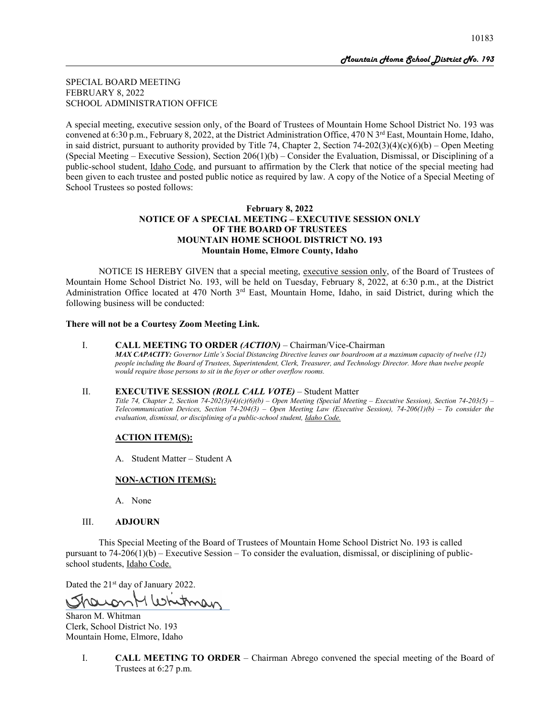SPECIAL BOARD MEETING FEBRUARY 8, 2022 SCHOOL ADMINISTRATION OFFICE

A special meeting, executive session only, of the Board of Trustees of Mountain Home School District No. 193 was convened at 6:30 p.m., February 8, 2022, at the District Administration Office, 470 N  $3<sup>rd</sup>$  East, Mountain Home, Idaho, in said district, pursuant to authority provided by Title 74, Chapter 2, Section 74-202(3)(4)(c)(6)(b) – Open Meeting (Special Meeting – Executive Session), Section  $206(1)(b)$  – Consider the Evaluation, Dismissal, or Disciplining of a public-school student, Idaho Code, and pursuant to affirmation by the Clerk that notice of the special meeting had been given to each trustee and posted public notice as required by law. A copy of the Notice of a Special Meeting of School Trustees so posted follows:

# **February 8, 2022 NOTICE OF A SPECIAL MEETING – EXECUTIVE SESSION ONLY OF THE BOARD OF TRUSTEES MOUNTAIN HOME SCHOOL DISTRICT NO. 193 Mountain Home, Elmore County, Idaho**

NOTICE IS HEREBY GIVEN that a special meeting, executive session only, of the Board of Trustees of Mountain Home School District No. 193, will be held on Tuesday, February 8, 2022, at 6:30 p.m., at the District Administration Office located at 470 North  $3<sup>rd</sup>$  East, Mountain Home, Idaho, in said District, during which the following business will be conducted:

# **There will not be a Courtesy Zoom Meeting Link.**

#### I. **CALL MEETING TO ORDER** *(ACTION)* – Chairman/Vice-Chairman

*MAX CAPACITY: Governor Little's Social Distancing Directive leaves our boardroom at a maximum capacity of twelve (12) people including the Board of Trustees, Superintendent, Clerk, Treasurer, and Technology Director. More than twelve people would require those persons to sit in the foyer or other overflow rooms.*

#### II. **EXECUTIVE SESSION** *(ROLL CALL VOTE)* – Student Matter

*Title 74, Chapter 2, Section 74-202(3)(4)(c)(6)(b) – Open Meeting (Special Meeting – Executive Session), Section 74-203(5) – Telecommunication Devices, Section 74-204(3) – Open Meeting Law (Executive Session), 74-206(1)(b) – To consider the evaluation, dismissal, or disciplining of a public-school student, Idaho Code.*

#### **ACTION ITEM(S):**

A. Student Matter – Student A

#### **NON-ACTION ITEM(S):**

A. None

#### III. **ADJOURN**

This Special Meeting of the Board of Trustees of Mountain Home School District No. 193 is called pursuant to 74-206(1)(b) – Executive Session – To consider the evaluation, dismissal, or disciplining of publicschool students, Idaho Code.

Dated the 21<sup>st</sup> day of January 2022.

itman

Sharon M. Whitman Clerk, School District No. 193 Mountain Home, Elmore, Idaho

> I. **CALL MEETING TO ORDER** – Chairman Abrego convened the special meeting of the Board of Trustees at 6:27 p.m.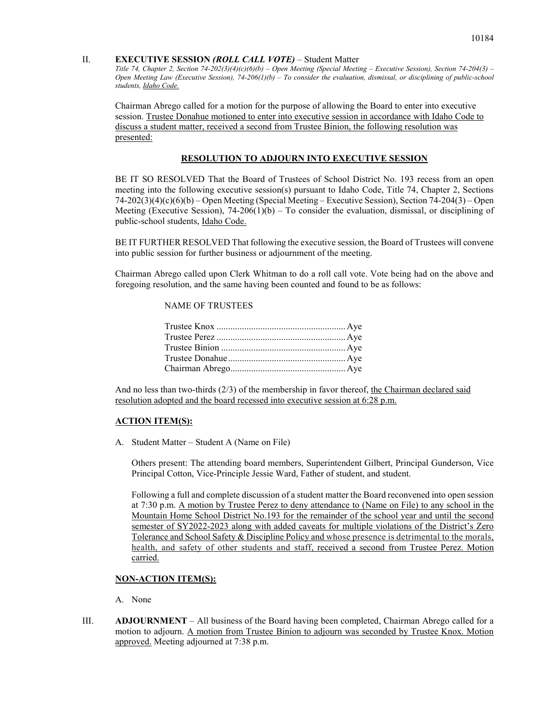#### II. **EXECUTIVE SESSION** *(ROLL CALL VOTE)* – Student Matter

*Title 74, Chapter 2, Section 74-202(3)(4)(c)(6)(b) – Open Meeting (Special Meeting – Executive Session), Section 74-204(3) – Open Meeting Law (Executive Session), 74-206(1)(b) – To consider the evaluation, dismissal, or disciplining of public-school students, Idaho Code.*

Chairman Abrego called for a motion for the purpose of allowing the Board to enter into executive session. Trustee Donahue motioned to enter into executive session in accordance with Idaho Code to discuss a student matter, received a second from Trustee Binion, the following resolution was presented:

## **RESOLUTION TO ADJOURN INTO EXECUTIVE SESSION**

BE IT SO RESOLVED That the Board of Trustees of School District No. 193 recess from an open meeting into the following executive session(s) pursuant to Idaho Code, Title 74, Chapter 2, Sections 74-202(3)(4)(c)(6)(b) – Open Meeting (Special Meeting – Executive Session), Section 74-204(3) – Open Meeting (Executive Session),  $74-206(1)(b)$  – To consider the evaluation, dismissal, or disciplining of public-school students, Idaho Code.

BE IT FURTHER RESOLVED That following the executive session, the Board of Trustees will convene into public session for further business or adjournment of the meeting.

Chairman Abrego called upon Clerk Whitman to do a roll call vote. Vote being had on the above and foregoing resolution, and the same having been counted and found to be as follows:

#### NAME OF TRUSTEES

And no less than two-thirds (2/3) of the membership in favor thereof, the Chairman declared said resolution adopted and the board recessed into executive session at 6:28 p.m.

#### **ACTION ITEM(S):**

A. Student Matter – Student A (Name on File)

Others present: The attending board members, Superintendent Gilbert, Principal Gunderson, Vice Principal Cotton, Vice-Principle Jessie Ward, Father of student, and student.

Following a full and complete discussion of a student matter the Board reconvened into open session at 7:30 p.m. A motion by Trustee Perez to deny attendance to (Name on File) to any school in the Mountain Home School District No.193 for the remainder of the school year and until the second semester of SY2022-2023 along with added caveats for multiple violations of the District's Zero Tolerance and School Safety & Discipline Policy and whose presence is detrimental to the morals, health, and safety of other students and staff, received a second from Trustee Perez. Motion carried.

# **NON-ACTION ITEM(S):**

A. None

III. **ADJOURNMENT** – All business of the Board having been completed, Chairman Abrego called for a motion to adjourn. A motion from Trustee Binion to adjourn was seconded by Trustee Knox. Motion approved. Meeting adjourned at 7:38 p.m.